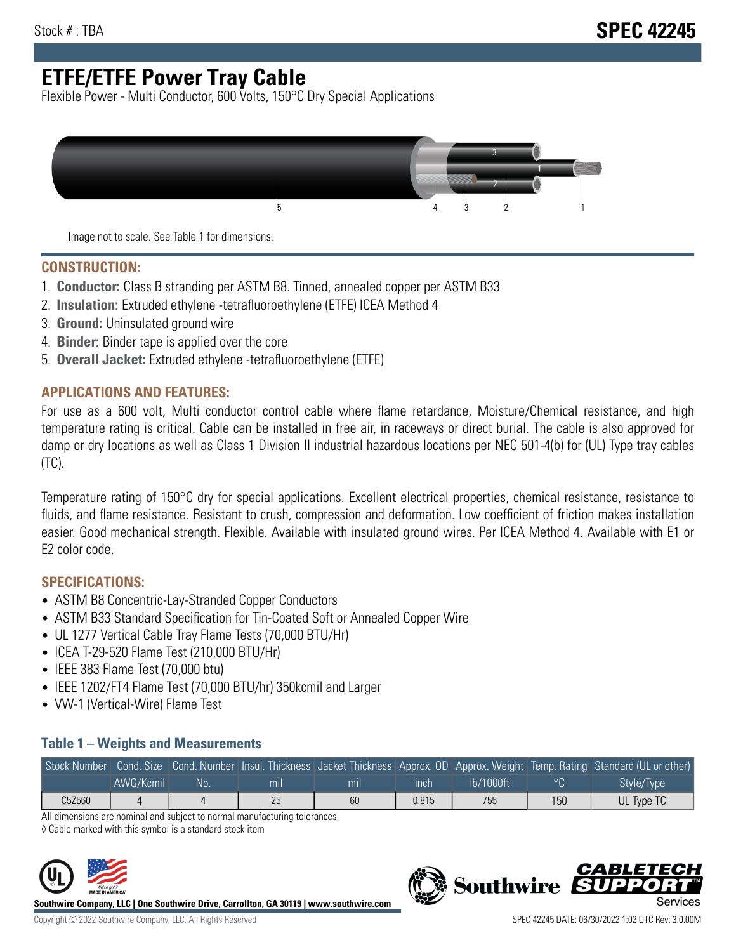# **ETFE/ETFE Power Tray Cable**

Flexible Power - Multi Conductor, 600 Volts, 150°C Dry Special Applications



Image not to scale. See Table 1 for dimensions.

#### **CONSTRUCTION:**

- 1. **Conductor:** Class B stranding per ASTM B8. Tinned, annealed copper per ASTM B33
- 2. **Insulation:** Extruded ethylene -tetrafluoroethylene (ETFE) ICEA Method 4
- 3. **Ground:** Uninsulated ground wire
- 4. **Binder:** Binder tape is applied over the core
- 5. **Overall Jacket:** Extruded ethylene -tetrafluoroethylene (ETFE)

#### **APPLICATIONS AND FEATURES:**

For use as a 600 volt, Multi conductor control cable where flame retardance, Moisture/Chemical resistance, and high temperature rating is critical. Cable can be installed in free air, in raceways or direct burial. The cable is also approved for damp or dry locations as well as Class 1 Division II industrial hazardous locations per NEC 501-4(b) for (UL) Type tray cables (TC).

Temperature rating of 150°C dry for special applications. Excellent electrical properties, chemical resistance, resistance to fluids, and flame resistance. Resistant to crush, compression and deformation. Low coefficient of friction makes installation easier. Good mechanical strength. Flexible. Available with insulated ground wires. Per ICEA Method 4. Available with E1 or E2 color code.

### **SPECIFICATIONS:**

- ASTM B8 Concentric-Lay-Stranded Copper Conductors
- ASTM B33 Standard Specification for Tin-Coated Soft or Annealed Copper Wire
- UL 1277 Vertical Cable Tray Flame Tests (70,000 BTU/Hr)
- ICEA T-29-520 Flame Test (210,000 BTU/Hr)
- IEEE 383 Flame Test (70,000 btu)
- IEEE 1202/FT4 Flame Test (70,000 BTU/hr) 350kcmil and Larger
- VW-1 (Vertical-Wire) Flame Test

#### **Table 1 – Weights and Measurements**

|        |           |    |     |     |       |           |         | Stock Number Cond. Size Cond. Number Insul. Thickness Jacket Thickness Approx. OD Approx. Weight Temp. Rating Standard (UL or other) |
|--------|-----------|----|-----|-----|-------|-----------|---------|--------------------------------------------------------------------------------------------------------------------------------------|
|        | AWG/Kcmil | No | mıl | mıl | ınch  | lb/1000ft | $\circ$ | Style/Type <sup>1</sup>                                                                                                              |
| C5Z560 |           |    | 25  | 60  | 0.815 | 755       | 150     | UL Type TC                                                                                                                           |

All dimensions are nominal and subject to normal manufacturing tolerances

◊ Cable marked with this symbol is a standard stock item



**Southwire Company, LLC | One Southwire Drive, Carrollton, GA 30119 | www.southwire.com**

**Southwire** 

CARLET